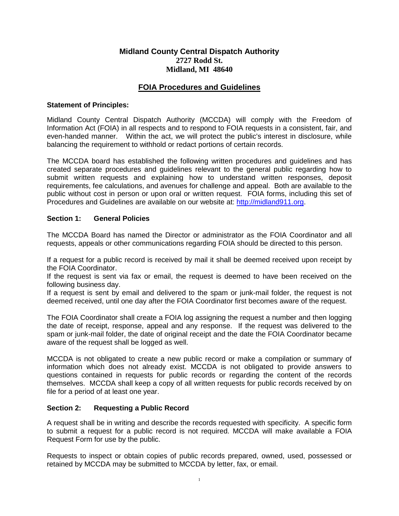# **Midland County Central Dispatch Authority 2727 Rodd St. Midland, MI 48640**

# **FOIA Procedures and Guidelines**

### **Statement of Principles:**

Midland County Central Dispatch Authority (MCCDA) will comply with the Freedom of Information Act (FOIA) in all respects and to respond to FOIA requests in a consistent, fair, and even-handed manner. Within the act, we will protect the public's interest in disclosure, while balancing the requirement to withhold or redact portions of certain records.

The MCCDA board has established the following written procedures and guidelines and has created separate procedures and guidelines relevant to the general public regarding how to submit written requests and explaining how to understand written responses, deposit requirements, fee calculations, and avenues for challenge and appeal. Both are available to the public without cost in person or upon oral or written request. FOIA forms, including this set of Procedures and Guidelines are available on our website at: [http://midland911.org.](http://midland911.org/)

#### **Section 1: General Policies**

The MCCDA Board has named the Director or administrator as the FOIA Coordinator and all requests, appeals or other communications regarding FOIA should be directed to this person.

If a request for a public record is received by mail it shall be deemed received upon receipt by the FOIA Coordinator.

If the request is sent via fax or email, the request is deemed to have been received on the following business day.

If a request is sent by email and delivered to the spam or junk-mail folder, the request is not deemed received, until one day after the FOIA Coordinator first becomes aware of the request.

The FOIA Coordinator shall create a FOIA log assigning the request a number and then logging the date of receipt, response, appeal and any response. If the request was delivered to the spam or junk-mail folder, the date of original receipt and the date the FOIA Coordinator became aware of the request shall be logged as well.

MCCDA is not obligated to create a new public record or make a compilation or summary of information which does not already exist. MCCDA is not obligated to provide answers to questions contained in requests for public records or regarding the content of the records themselves. MCCDA shall keep a copy of all written requests for public records received by on file for a period of at least one year.

### **Section 2: Requesting a Public Record**

A request shall be in writing and describe the records requested with specificity. A specific form to submit a request for a public record is not required. MCCDA will make available a FOIA Request Form for use by the public.

Requests to inspect or obtain copies of public records prepared, owned, used, possessed or retained by MCCDA may be submitted to MCCDA by letter, fax, or email.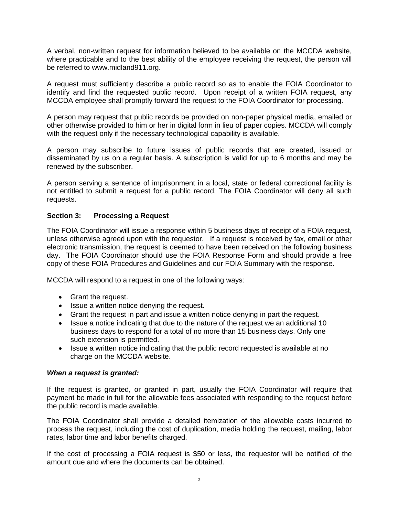A verbal, non-written request for information believed to be available on the MCCDA website, where practicable and to the best ability of the employee receiving the request, the person will be referred to www.midland911.org.

A request must sufficiently describe a public record so as to enable the FOIA Coordinator to identify and find the requested public record. Upon receipt of a written FOIA request, any MCCDA employee shall promptly forward the request to the FOIA Coordinator for processing.

A person may request that public records be provided on non-paper physical media, emailed or other otherwise provided to him or her in digital form in lieu of paper copies. MCCDA will comply with the request only if the necessary technological capability is available.

A person may subscribe to future issues of public records that are created, issued or disseminated by us on a regular basis. A subscription is valid for up to 6 months and may be renewed by the subscriber.

A person serving a sentence of imprisonment in a local, state or federal correctional facility is not entitled to submit a request for a public record. The FOIA Coordinator will deny all such requests.

### **Section 3: Processing a Request**

The FOIA Coordinator will issue a response within 5 business days of receipt of a FOIA request, unless otherwise agreed upon with the requestor. If a request is received by fax, email or other electronic transmission, the request is deemed to have been received on the following business day. The FOIA Coordinator should use the FOIA Response Form and should provide a free copy of these FOIA Procedures and Guidelines and our FOIA Summary with the response.

MCCDA will respond to a request in one of the following ways:

- Grant the request.
- Issue a written notice denying the request.
- Grant the request in part and issue a written notice denying in part the request.
- Issue a notice indicating that due to the nature of the request we an additional 10 business days to respond for a total of no more than 15 business days. Only one such extension is permitted.
- Issue a written notice indicating that the public record requested is available at no charge on the MCCDA website.

#### *When a request is granted:*

If the request is granted, or granted in part, usually the FOIA Coordinator will require that payment be made in full for the allowable fees associated with responding to the request before the public record is made available.

The FOIA Coordinator shall provide a detailed itemization of the allowable costs incurred to process the request, including the cost of duplication, media holding the request, mailing, labor rates, labor time and labor benefits charged.

If the cost of processing a FOIA request is \$50 or less, the requestor will be notified of the amount due and where the documents can be obtained.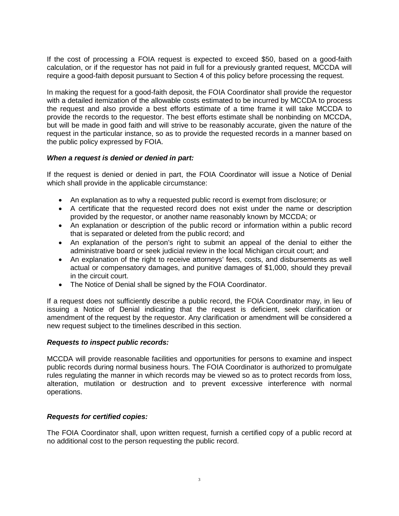If the cost of processing a FOIA request is expected to exceed \$50, based on a good-faith calculation, or if the requestor has not paid in full for a previously granted request, MCCDA will require a good-faith deposit pursuant to Section 4 of this policy before processing the request.

In making the request for a good-faith deposit, the FOIA Coordinator shall provide the requestor with a detailed itemization of the allowable costs estimated to be incurred by MCCDA to process the request and also provide a best efforts estimate of a time frame it will take MCCDA to provide the records to the requestor. The best efforts estimate shall be nonbinding on MCCDA, but will be made in good faith and will strive to be reasonably accurate, given the nature of the request in the particular instance, so as to provide the requested records in a manner based on the public policy expressed by FOIA.

### *When a request is denied or denied in part:*

If the request is denied or denied in part, the FOIA Coordinator will issue a Notice of Denial which shall provide in the applicable circumstance:

- An explanation as to why a requested public record is exempt from disclosure; or
- A certificate that the requested record does not exist under the name or description provided by the requestor, or another name reasonably known by MCCDA; or
- An explanation or description of the public record or information within a public record that is separated or deleted from the public record; and
- An explanation of the person's right to submit an appeal of the denial to either the administrative board or seek judicial review in the local Michigan circuit court; and
- An explanation of the right to receive attorneys' fees, costs, and disbursements as well actual or compensatory damages, and punitive damages of \$1,000, should they prevail in the circuit court.
- The Notice of Denial shall be signed by the FOIA Coordinator.

If a request does not sufficiently describe a public record, the FOIA Coordinator may, in lieu of issuing a Notice of Denial indicating that the request is deficient, seek clarification or amendment of the request by the requestor. Any clarification or amendment will be considered a new request subject to the timelines described in this section.

#### *Requests to inspect public records:*

MCCDA will provide reasonable facilities and opportunities for persons to examine and inspect public records during normal business hours. The FOIA Coordinator is authorized to promulgate rules regulating the manner in which records may be viewed so as to protect records from loss, alteration, mutilation or destruction and to prevent excessive interference with normal operations.

### *Requests for certified copies:*

The FOIA Coordinator shall, upon written request, furnish a certified copy of a public record at no additional cost to the person requesting the public record.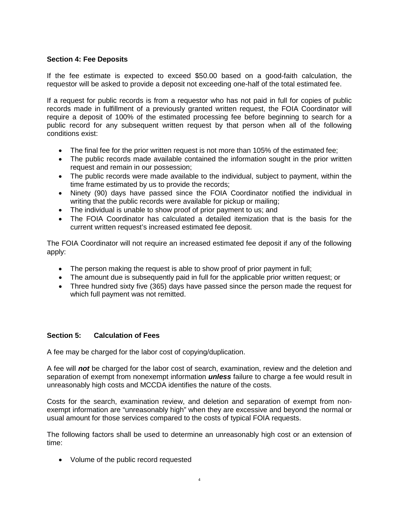## **Section 4: Fee Deposits**

If the fee estimate is expected to exceed \$50.00 based on a good-faith calculation, the requestor will be asked to provide a deposit not exceeding one-half of the total estimated fee.

If a request for public records is from a requestor who has not paid in full for copies of public records made in fulfillment of a previously granted written request, the FOIA Coordinator will require a deposit of 100% of the estimated processing fee before beginning to search for a public record for any subsequent written request by that person when all of the following conditions exist:

- The final fee for the prior written request is not more than 105% of the estimated fee;
- The public records made available contained the information sought in the prior written request and remain in our possession;
- The public records were made available to the individual, subject to payment, within the time frame estimated by us to provide the records;
- Ninety (90) days have passed since the FOIA Coordinator notified the individual in writing that the public records were available for pickup or mailing;
- The individual is unable to show proof of prior payment to us; and
- The FOIA Coordinator has calculated a detailed itemization that is the basis for the current written request's increased estimated fee deposit.

The FOIA Coordinator will not require an increased estimated fee deposit if any of the following apply:

- The person making the request is able to show proof of prior payment in full;
- The amount due is subsequently paid in full for the applicable prior written request; or
- Three hundred sixty five (365) days have passed since the person made the request for which full payment was not remitted.

### **Section 5: Calculation of Fees**

A fee may be charged for the labor cost of copying/duplication.

A fee will *not* be charged for the labor cost of search, examination, review and the deletion and separation of exempt from nonexempt information *unless* failure to charge a fee would result in unreasonably high costs and MCCDA identifies the nature of the costs.

Costs for the search, examination review, and deletion and separation of exempt from nonexempt information are "unreasonably high" when they are excessive and beyond the normal or usual amount for those services compared to the costs of typical FOIA requests.

The following factors shall be used to determine an unreasonably high cost or an extension of time:

• Volume of the public record requested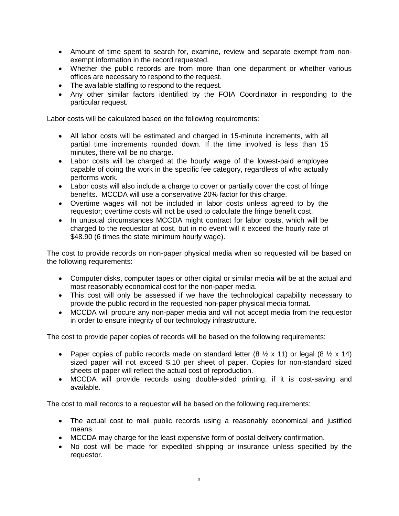- Amount of time spent to search for, examine, review and separate exempt from nonexempt information in the record requested.
- Whether the public records are from more than one department or whether various offices are necessary to respond to the request.
- The available staffing to respond to the request.
- Any other similar factors identified by the FOIA Coordinator in responding to the particular request.

Labor costs will be calculated based on the following requirements:

- All labor costs will be estimated and charged in 15-minute increments, with all partial time increments rounded down. If the time involved is less than 15 minutes, there will be no charge.
- Labor costs will be charged at the hourly wage of the lowest-paid employee capable of doing the work in the specific fee category, regardless of who actually performs work.
- Labor costs will also include a charge to cover or partially cover the cost of fringe benefits. MCCDA will use a conservative 20% factor for this charge.
- Overtime wages will not be included in labor costs unless agreed to by the requestor; overtime costs will not be used to calculate the fringe benefit cost.
- In unusual circumstances MCCDA might contract for labor costs, which will be charged to the requestor at cost, but in no event will it exceed the hourly rate of \$48.90 (6 times the state minimum hourly wage).

The cost to provide records on non-paper physical media when so requested will be based on the following requirements:

- Computer disks, computer tapes or other digital or similar media will be at the actual and most reasonably economical cost for the non-paper media.
- This cost will only be assessed if we have the technological capability necessary to provide the public record in the requested non-paper physical media format.
- MCCDA will procure any non-paper media and will not accept media from the requestor in order to ensure integrity of our technology infrastructure.

The cost to provide paper copies of records will be based on the following requirements:

- Paper copies of public records made on standard letter  $(8 \frac{1}{2} \times 11)$  or legal  $(8 \frac{1}{2} \times 14)$ sized paper will not exceed \$.10 per sheet of paper. Copies for non-standard sized sheets of paper will reflect the actual cost of reproduction.
- MCCDA will provide records using double-sided printing, if it is cost-saving and available.

The cost to mail records to a requestor will be based on the following requirements:

- The actual cost to mail public records using a reasonably economical and justified means.
- MCCDA may charge for the least expensive form of postal delivery confirmation.
- No cost will be made for expedited shipping or insurance unless specified by the requestor.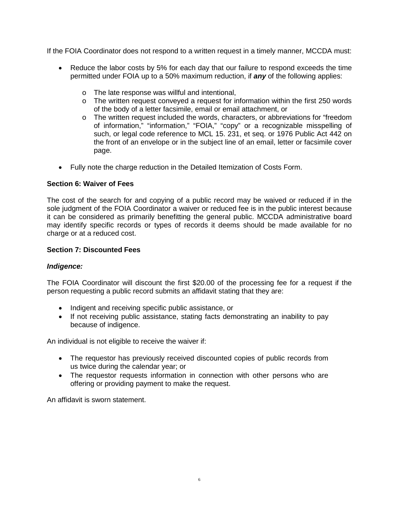If the FOIA Coordinator does not respond to a written request in a timely manner, MCCDA must:

- Reduce the labor costs by 5% for each day that our failure to respond exceeds the time permitted under FOIA up to a 50% maximum reduction, if *any* of the following applies:
	- o The late response was willful and intentional,
	- o The written request conveyed a request for information within the first 250 words of the body of a letter facsimile, email or email attachment, or
	- o The written request included the words, characters, or abbreviations for "freedom of information," "information," "FOIA," "copy" or a recognizable misspelling of such, or legal code reference to MCL 15. 231, et seq. or 1976 Public Act 442 on the front of an envelope or in the subject line of an email, letter or facsimile cover page.
- Fully note the charge reduction in the Detailed Itemization of Costs Form.

#### **Section 6: Waiver of Fees**

The cost of the search for and copying of a public record may be waived or reduced if in the sole judgment of the FOIA Coordinator a waiver or reduced fee is in the public interest because it can be considered as primarily benefitting the general public. MCCDA administrative board may identify specific records or types of records it deems should be made available for no charge or at a reduced cost.

#### **Section 7: Discounted Fees**

#### *Indigence:*

The FOIA Coordinator will discount the first \$20.00 of the processing fee for a request if the person requesting a public record submits an affidavit stating that they are:

- Indigent and receiving specific public assistance, or
- If not receiving public assistance, stating facts demonstrating an inability to pay because of indigence.

An individual is not eligible to receive the waiver if:

- The requestor has previously received discounted copies of public records from us twice during the calendar year; or
- The requestor requests information in connection with other persons who are offering or providing payment to make the request.

An affidavit is sworn statement.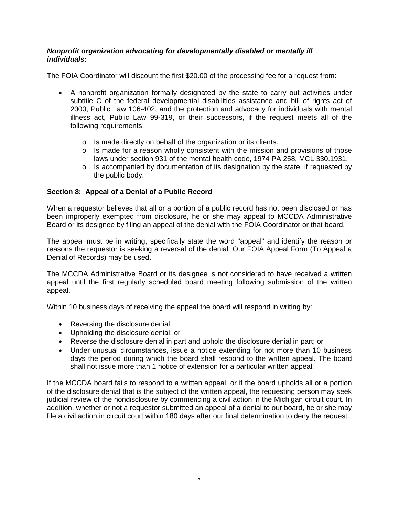### *Nonprofit organization advocating for developmentally disabled or mentally ill individuals:*

The FOIA Coordinator will discount the first \$20.00 of the processing fee for a request from:

- A nonprofit organization formally designated by the state to carry out activities under subtitle C of the federal developmental disabilities assistance and bill of rights act of 2000, Public Law 106-402, and the protection and advocacy for individuals with mental illness act, Public Law 99-319, or their successors, if the request meets all of the following requirements:
	- o Is made directly on behalf of the organization or its clients.
	- o Is made for a reason wholly consistent with the mission and provisions of those laws under section 931 of the mental health code, 1974 PA 258, MCL 330.1931.
	- $\circ$  Is accompanied by documentation of its designation by the state, if requested by the public body.

# **Section 8: Appeal of a Denial of a Public Record**

When a requestor believes that all or a portion of a public record has not been disclosed or has been improperly exempted from disclosure, he or she may appeal to MCCDA Administrative Board or its designee by filing an appeal of the denial with the FOIA Coordinator or that board.

The appeal must be in writing, specifically state the word "appeal" and identify the reason or reasons the requestor is seeking a reversal of the denial. Our FOIA Appeal Form (To Appeal a Denial of Records) may be used.

The MCCDA Administrative Board or its designee is not considered to have received a written appeal until the first regularly scheduled board meeting following submission of the written appeal.

Within 10 business days of receiving the appeal the board will respond in writing by:

- Reversing the disclosure denial;
- Upholding the disclosure denial; or
- Reverse the disclosure denial in part and uphold the disclosure denial in part; or
- Under unusual circumstances, issue a notice extending for not more than 10 business days the period during which the board shall respond to the written appeal. The board shall not issue more than 1 notice of extension for a particular written appeal.

If the MCCDA board fails to respond to a written appeal, or if the board upholds all or a portion of the disclosure denial that is the subject of the written appeal, the requesting person may seek judicial review of the nondisclosure by commencing a civil action in the Michigan circuit court. In addition, whether or not a requestor submitted an appeal of a denial to our board, he or she may file a civil action in circuit court within 180 days after our final determination to deny the request.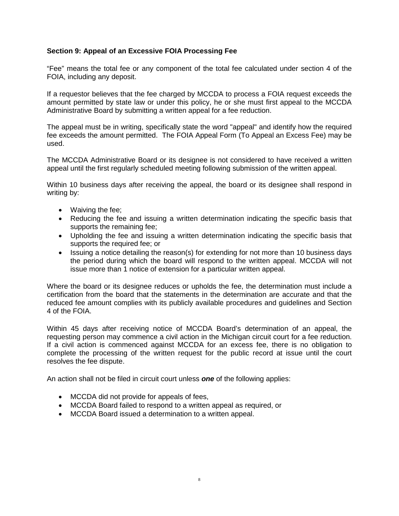## **Section 9: Appeal of an Excessive FOIA Processing Fee**

"Fee" means the total fee or any component of the total fee calculated under section 4 of the FOIA, including any deposit.

If a requestor believes that the fee charged by MCCDA to process a FOIA request exceeds the amount permitted by state law or under this policy, he or she must first appeal to the MCCDA Administrative Board by submitting a written appeal for a fee reduction.

The appeal must be in writing, specifically state the word "appeal" and identify how the required fee exceeds the amount permitted. The FOIA Appeal Form (To Appeal an Excess Fee) may be used.

The MCCDA Administrative Board or its designee is not considered to have received a written appeal until the first regularly scheduled meeting following submission of the written appeal.

Within 10 business days after receiving the appeal, the board or its designee shall respond in writing by:

- Waiving the fee;
- Reducing the fee and issuing a written determination indicating the specific basis that supports the remaining fee;
- Upholding the fee and issuing a written determination indicating the specific basis that supports the required fee; or
- Issuing a notice detailing the reason(s) for extending for not more than 10 business days the period during which the board will respond to the written appeal. MCCDA will not issue more than 1 notice of extension for a particular written appeal.

Where the board or its designee reduces or upholds the fee, the determination must include a certification from the board that the statements in the determination are accurate and that the reduced fee amount complies with its publicly available procedures and guidelines and Section 4 of the FOIA.

Within 45 days after receiving notice of MCCDA Board's determination of an appeal, the requesting person may commence a civil action in the Michigan circuit court for a fee reduction. If a civil action is commenced against MCCDA for an excess fee, there is no obligation to complete the processing of the written request for the public record at issue until the court resolves the fee dispute.

An action shall not be filed in circuit court unless *one* of the following applies:

- MCCDA did not provide for appeals of fees,
- MCCDA Board failed to respond to a written appeal as required, or
- MCCDA Board issued a determination to a written appeal.